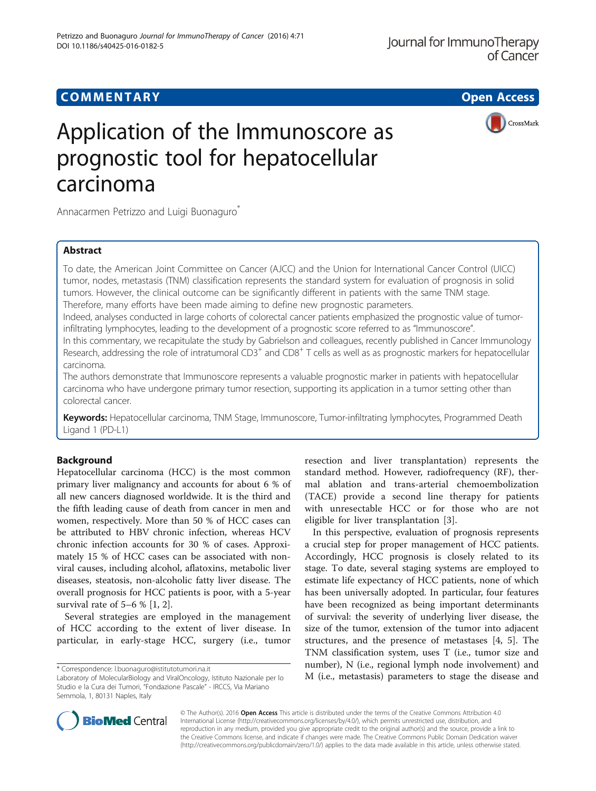# **COMMENTARY COMMENTARY Open Access**

# Application of the Immunoscore as prognostic tool for hepatocellular carcinoma

CrossMark

Annacarmen Petrizzo and Luigi Buonaguro\*

# Abstract

To date, the American Joint Committee on Cancer (AJCC) and the Union for International Cancer Control (UICC) tumor, nodes, metastasis (TNM) classification represents the standard system for evaluation of prognosis in solid tumors. However, the clinical outcome can be significantly different in patients with the same TNM stage. Therefore, many efforts have been made aiming to define new prognostic parameters.

Indeed, analyses conducted in large cohorts of colorectal cancer patients emphasized the prognostic value of tumorinfiltrating lymphocytes, leading to the development of a prognostic score referred to as "Immunoscore".

In this commentary, we recapitulate the study by Gabrielson and colleagues, recently published in Cancer Immunology Research, addressing the role of intratumoral  $CD3^+$  and  $CD8^+$  T cells as well as as prognostic markers for hepatocellular carcinoma.

The authors demonstrate that Immunoscore represents a valuable prognostic marker in patients with hepatocellular carcinoma who have undergone primary tumor resection, supporting its application in a tumor setting other than colorectal cancer.

Keywords: Hepatocellular carcinoma, TNM Stage, Immunoscore, Tumor-infiltrating lymphocytes, Programmed Death Ligand 1 (PD-L1)

# Background

Hepatocellular carcinoma (HCC) is the most common primary liver malignancy and accounts for about 6 % of all new cancers diagnosed worldwide. It is the third and the fifth leading cause of death from cancer in men and women, respectively. More than 50 % of HCC cases can be attributed to HBV chronic infection, whereas HCV chronic infection accounts for 30 % of cases. Approximately 15 % of HCC cases can be associated with nonviral causes, including alcohol, aflatoxins, metabolic liver diseases, steatosis, non-alcoholic fatty liver disease. The overall prognosis for HCC patients is poor, with a 5-year survival rate of 5–6 % [\[1](#page-2-0), [2](#page-3-0)].

Several strategies are employed in the management of HCC according to the extent of liver disease. In particular, in early-stage HCC, surgery (i.e., tumor

resection and liver transplantation) represents the standard method. However, radiofrequency (RF), thermal ablation and trans-arterial chemoembolization (TACE) provide a second line therapy for patients with unresectable HCC or for those who are not eligible for liver transplantation [[3\]](#page-3-0).

In this perspective, evaluation of prognosis represents a crucial step for proper management of HCC patients. Accordingly, HCC prognosis is closely related to its stage. To date, several staging systems are employed to estimate life expectancy of HCC patients, none of which has been universally adopted. In particular, four features have been recognized as being important determinants of survival: the severity of underlying liver disease, the size of the tumor, extension of the tumor into adjacent structures, and the presence of metastases [\[4](#page-3-0), [5](#page-3-0)]. The TNM classification system, uses T (i.e., tumor size and number), N (i.e., regional lymph node involvement) and \* Correspondence: [l.buonaguro@istitutotumori.na.it](mailto:l.buonaguro@istitutotumori.na.it)<br>Laboratory of MolecularBiology and ViralOncology, Istituto Nazionale per lo  $M$  (i.e., metastasis) parameters to stage the disease and



© The Author(s). 2016 Open Access This article is distributed under the terms of the Creative Commons Attribution 4.0 International License [\(http://creativecommons.org/licenses/by/4.0/](http://creativecommons.org/licenses/by/4.0/)), which permits unrestricted use, distribution, and reproduction in any medium, provided you give appropriate credit to the original author(s) and the source, provide a link to the Creative Commons license, and indicate if changes were made. The Creative Commons Public Domain Dedication waiver [\(http://creativecommons.org/publicdomain/zero/1.0/](http://creativecommons.org/publicdomain/zero/1.0/)) applies to the data made available in this article, unless otherwise stated.

Laboratory of MolecularBiology and ViralOncology, Istituto Nazionale per lo Studio e la Cura dei Tumori, "Fondazione Pascale" - IRCCS, Via Mariano Semmola, 1, 80131 Naples, Italy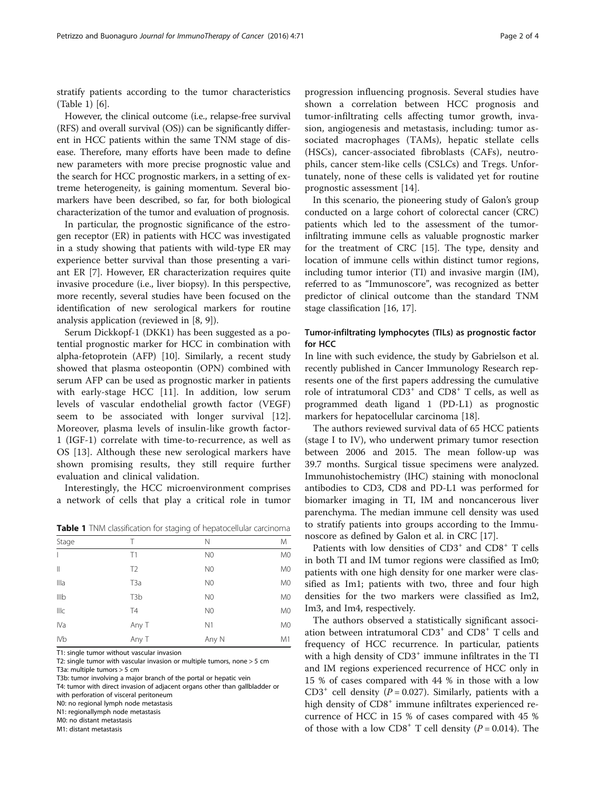stratify patients according to the tumor characteristics (Table 1) [\[6](#page-3-0)].

However, the clinical outcome (i.e., relapse-free survival (RFS) and overall survival (OS)) can be significantly different in HCC patients within the same TNM stage of disease. Therefore, many efforts have been made to define new parameters with more precise prognostic value and the search for HCC prognostic markers, in a setting of extreme heterogeneity, is gaining momentum. Several biomarkers have been described, so far, for both biological characterization of the tumor and evaluation of prognosis.

In particular, the prognostic significance of the estrogen receptor (ER) in patients with HCC was investigated in a study showing that patients with wild-type ER may experience better survival than those presenting a variant ER [\[7](#page-3-0)]. However, ER characterization requires quite invasive procedure (i.e., liver biopsy). In this perspective, more recently, several studies have been focused on the identification of new serological markers for routine analysis application (reviewed in [\[8](#page-3-0), [9](#page-3-0)]).

Serum Dickkopf-1 (DKK1) has been suggested as a potential prognostic marker for HCC in combination with alpha-fetoprotein (AFP) [[10\]](#page-3-0). Similarly, a recent study showed that plasma osteopontin (OPN) combined with serum AFP can be used as prognostic marker in patients with early-stage HCC [\[11](#page-3-0)]. In addition, low serum levels of vascular endothelial growth factor (VEGF) seem to be associated with longer survival [\[12](#page-3-0)]. Moreover, plasma levels of insulin-like growth factor-1 (IGF-1) correlate with time-to-recurrence, as well as OS [[13\]](#page-3-0). Although these new serological markers have shown promising results, they still require further evaluation and clinical validation.

Interestingly, the HCC microenvironment comprises a network of cells that play a critical role in tumor

Table 1 TNM classification for staging of hepatocellular carcinoma

| Stage           | Т                | Ν              | M              |
|-----------------|------------------|----------------|----------------|
| $\overline{1}$  | T1               | N <sub>0</sub> | M <sub>0</sub> |
| $\mathbb{I}$    | T <sub>2</sub>   | N <sub>0</sub> | M <sub>0</sub> |
| Illa            | T <sub>3</sub> a | N <sub>0</sub> | M <sub>0</sub> |
| IIIb            | T <sub>3</sub> b | N <sub>0</sub> | M <sub>0</sub> |
| Illc            | T4               | N <sub>0</sub> | M <sub>0</sub> |
| IVa             | Any T            | N1             | M <sub>0</sub> |
| IV <sub>b</sub> | Any T            | Any N          | M1             |

T1: single tumor without vascular invasion

T2: single tumor with vascular invasion or multiple tumors, none > 5 cm T3a: multiple tumors > 5 cm

T3b: tumor involving a major branch of the portal or hepatic vein

T4: tumor with direct invasion of adjacent organs other than gallbladder or

with perforation of visceral peritoneum

N0: no regional lymph node metastasis N1: regionallymph node metastasis

M0: no distant metastasis

M1: distant metastasis

progression influencing prognosis. Several studies have shown a correlation between HCC prognosis and tumor-infiltrating cells affecting tumor growth, invasion, angiogenesis and metastasis, including: tumor associated macrophages (TAMs), hepatic stellate cells (HSCs), cancer-associated fibroblasts (CAFs), neutrophils, cancer stem-like cells (CSLCs) and Tregs. Unfortunately, none of these cells is validated yet for routine prognostic assessment [[14](#page-3-0)].

In this scenario, the pioneering study of Galon's group conducted on a large cohort of colorectal cancer (CRC) patients which led to the assessment of the tumorinfiltrating immune cells as valuable prognostic marker for the treatment of CRC [\[15](#page-3-0)]. The type, density and location of immune cells within distinct tumor regions, including tumor interior (TI) and invasive margin (IM), referred to as "Immunoscore", was recognized as better predictor of clinical outcome than the standard TNM stage classification [\[16](#page-3-0), [17](#page-3-0)].

## Tumor-infiltrating lymphocytes (TILs) as prognostic factor for HCC

In line with such evidence, the study by Gabrielson et al. recently published in Cancer Immunology Research represents one of the first papers addressing the cumulative role of intratumoral  $CD3^+$  and  $CD8^+$  T cells, as well as programmed death ligand 1 (PD-L1) as prognostic markers for hepatocellular carcinoma [\[18](#page-3-0)].

The authors reviewed survival data of 65 HCC patients (stage I to IV), who underwent primary tumor resection between 2006 and 2015. The mean follow-up was 39.7 months. Surgical tissue specimens were analyzed. Immunohistochemistry (IHC) staining with monoclonal antibodies to CD3, CD8 and PD-L1 was performed for biomarker imaging in TI, IM and noncancerous liver parenchyma. The median immune cell density was used to stratify patients into groups according to the Immunoscore as defined by Galon et al. in CRC [[17\]](#page-3-0).

Patients with low densities of CD3<sup>+</sup> and CD8<sup>+</sup> T cells in both TI and IM tumor regions were classified as Im0; patients with one high density for one marker were classified as Im1; patients with two, three and four high densities for the two markers were classified as Im2, Im3, and Im4, respectively.

The authors observed a statistically significant association between intratumoral CD3<sup>+</sup> and CD8<sup>+</sup> T cells and frequency of HCC recurrence. In particular, patients with a high density of  $CD3<sup>+</sup>$  immune infiltrates in the TI and IM regions experienced recurrence of HCC only in 15 % of cases compared with 44 % in those with a low CD3<sup>+</sup> cell density ( $P = 0.027$ ). Similarly, patients with a high density of CD8<sup>+</sup> immune infiltrates experienced recurrence of HCC in 15 % of cases compared with 45 % of those with a low  $CDS^+$  T cell density ( $P = 0.014$ ). The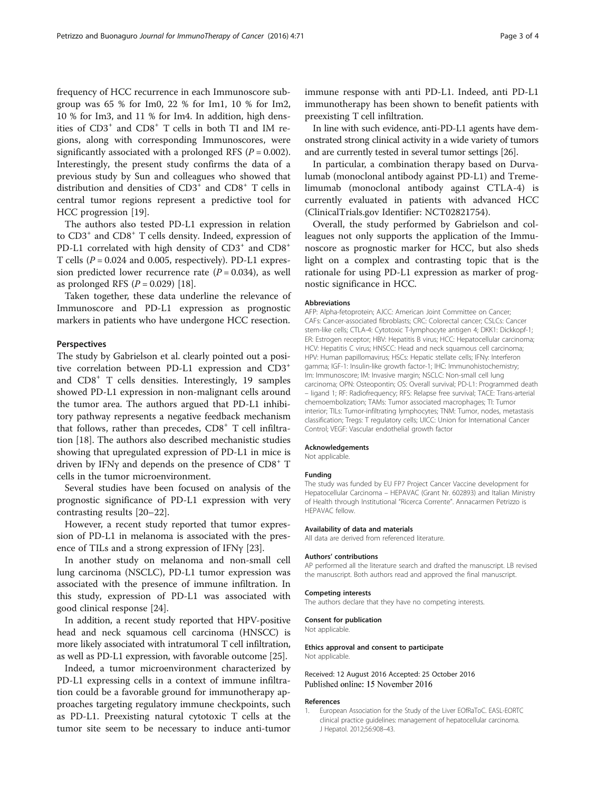<span id="page-2-0"></span>frequency of HCC recurrence in each Immunoscore subgroup was 65 % for Im0, 22 % for Im1, 10 % for Im2, 10 % for Im3, and 11 % for Im4. In addition, high densities of CD3<sup>+</sup> and CD8<sup>+</sup> T cells in both TI and IM regions, along with corresponding Immunoscores, were significantly associated with a prolonged RFS ( $P = 0.002$ ). Interestingly, the present study confirms the data of a previous study by Sun and colleagues who showed that distribution and densities of  $CD3^+$  and  $CD8^+$  T cells in central tumor regions represent a predictive tool for HCC progression [\[19\]](#page-3-0).

The authors also tested PD-L1 expression in relation to CD3<sup>+</sup> and CD8<sup>+</sup> T cells density. Indeed, expression of PD-L1 correlated with high density of CD3<sup>+</sup> and CD8<sup>+</sup> T cells  $(P = 0.024$  and 0.005, respectively). PD-L1 expression predicted lower recurrence rate  $(P = 0.034)$ , as well as prolonged RFS  $(P = 0.029)$  [[18\]](#page-3-0).

Taken together, these data underline the relevance of Immunoscore and PD-L1 expression as prognostic markers in patients who have undergone HCC resection.

## Perspectives

The study by Gabrielson et al. clearly pointed out a positive correlation between PD-L1 expression and CD3<sup>+</sup> and CD8<sup>+</sup> T cells densities. Interestingly, 19 samples showed PD-L1 expression in non-malignant cells around the tumor area. The authors argued that PD-L1 inhibitory pathway represents a negative feedback mechanism that follows, rather than precedes,  $CD8<sup>+</sup>$  T cell infiltration [\[18\]](#page-3-0). The authors also described mechanistic studies showing that upregulated expression of PD-L1 in mice is driven by IFN $\gamma$  and depends on the presence of CD8<sup>+</sup> T cells in the tumor microenvironment.

Several studies have been focused on analysis of the prognostic significance of PD-L1 expression with very contrasting results [\[20](#page-3-0)–[22](#page-3-0)].

However, a recent study reported that tumor expression of PD-L1 in melanoma is associated with the presence of TILs and a strong expression of IFNγ [\[23](#page-3-0)].

In another study on melanoma and non-small cell lung carcinoma (NSCLC), PD-L1 tumor expression was associated with the presence of immune infiltration. In this study, expression of PD-L1 was associated with good clinical response [\[24](#page-3-0)].

In addition, a recent study reported that HPV-positive head and neck squamous cell carcinoma (HNSCC) is more likely associated with intratumoral T cell infiltration, as well as PD-L1 expression, with favorable outcome [\[25](#page-3-0)].

Indeed, a tumor microenvironment characterized by PD-L1 expressing cells in a context of immune infiltration could be a favorable ground for immunotherapy approaches targeting regulatory immune checkpoints, such as PD-L1. Preexisting natural cytotoxic T cells at the tumor site seem to be necessary to induce anti-tumor

immune response with anti PD-L1. Indeed, anti PD-L1 immunotherapy has been shown to benefit patients with preexisting T cell infiltration.

In line with such evidence, anti-PD-L1 agents have demonstrated strong clinical activity in a wide variety of tumors and are currently tested in several tumor settings [\[26\]](#page-3-0).

In particular, a combination therapy based on Durvalumab (monoclonal antibody against PD-L1) and Tremelimumab (monoclonal antibody against CTLA-4) is currently evaluated in patients with advanced HCC (ClinicalTrials.gov Identifier: NCT02821754).

Overall, the study performed by Gabrielson and colleagues not only supports the application of the Immunoscore as prognostic marker for HCC, but also sheds light on a complex and contrasting topic that is the rationale for using PD-L1 expression as marker of prognostic significance in HCC.

## Abbreviations

AFP: Alpha-fetoprotein; AJCC: American Joint Committee on Cancer; CAFs: Cancer-associated fibroblasts; CRC: Colorectal cancer; CSLCs: Cancer stem-like cells; CTLA-4: Cytotoxic T-lymphocyte antigen 4; DKK1: Dickkopf-1; ER: Estrogen receptor; HBV: Hepatitis B virus; HCC: Hepatocellular carcinoma; HCV: Hepatitis C virus; HNSCC: Head and neck squamous cell carcinoma; HPV: Human papillomavirus; HSCs: Hepatic stellate cells; IFNγ: Interferon gamma; IGF-1: Insulin-like growth factor-1; IHC: Immunohistochemistry; Im: Immunoscore; IM: Invasive margin; NSCLC: Non-small cell lung carcinoma; OPN: Osteopontin; OS: Overall survival; PD-L1: Programmed death – ligand 1; RF: Radiofrequency; RFS: Relapse free survival; TACE: Trans-arterial chemoembolization; TAMs: Tumor associated macrophages; TI: Tumor interior; TILs: Tumor-infiltrating lymphocytes; TNM: Tumor, nodes, metastasis classification; Tregs: T regulatory cells; UICC: Union for International Cancer Control; VEGF: Vascular endothelial growth factor

## Acknowledgements

Not applicable.

#### Funding

The study was funded by EU FP7 Project Cancer Vaccine development for Hepatocellular Carcinoma – HEPAVAC (Grant Nr. 602893) and Italian Ministry of Health through Institutional "Ricerca Corrente". Annacarmen Petrizzo is HEPAVAC fellow.

# Availability of data and materials

All data are derived from referenced literature.

## Authors' contributions

AP performed all the literature search and drafted the manuscript. LB revised the manuscript. Both authors read and approved the final manuscript.

### Competing interests

The authors declare that they have no competing interests.

## Consent for publication

Not applicable.

#### Ethics approval and consent to participate Not applicable.

Received: 12 August 2016 Accepted: 25 October 2016 Published online: 15 November 2016

#### References

1. European Association for the Study of the Liver EOfRaToC. EASL-EORTC clinical practice guidelines: management of hepatocellular carcinoma. J Hepatol. 2012;56:908–43.